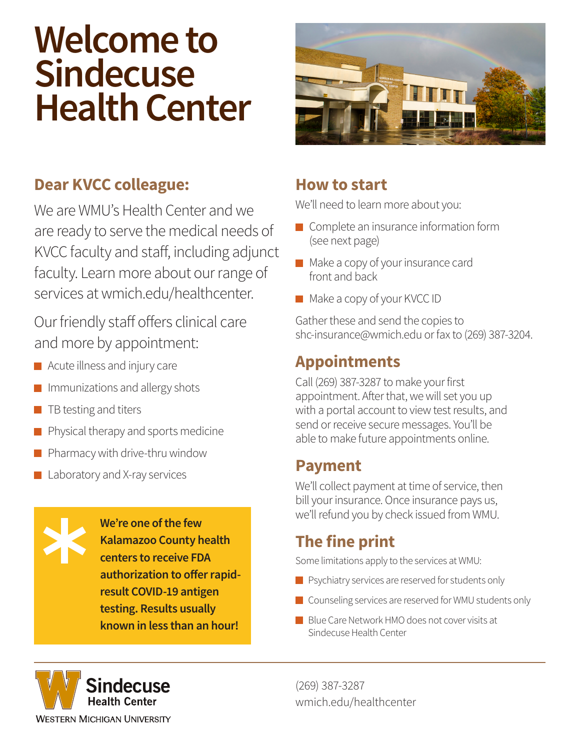# **Welcome to Sindecuse Health Center**



### **Dear KVCC colleague:**

We are WMU's Health Center and we are ready to serve the medical needs of KVCC faculty and staff, including adjunct faculty. Learn more about our range of services at wmich.edu/healthcenter.

Our friendly staff offers clinical care and more by appointment:

- **Acute illness and injury care**
- $\blacksquare$  Immunizations and allergy shots
- $\blacksquare$  TB testing and titers
- **Physical therapy and sports medicine**
- $\blacksquare$  Pharmacy with drive-thru window
- **Laboratory and X-ray services**

**We're one of the few Kalamazoo County health centers to receive FDA authorization to offer rapidresult COVID-19 antigen testing. Results usually known in less than an hour!**

#### **How to start**

We'll need to learn more about you:

- Complete an insurance information form (see next page)
- **Make a copy of your insurance card** front and back
- Make a copy of your KVCC ID

Gather these and send the copies to shc-insurance@wmich.edu or fax to (269) 387-3204.

## **Appointments**

Call (269) 387-3287 to make your first appointment. After that, we will set you up with a portal account to view test results, and send or receive secure messages. You'll be able to make future appointments online.

#### **Payment**

We'll collect payment at time of service, then bill your insurance. Once insurance pays us, we'll refund you by check issued from WMU.

# **The fine print**

Some limitations apply to the services at WMU:

- **P** Psychiatry services are reserved for students only
- Counseling services are reserved for WMU students only
- Blue Care Network HMO does not cover visits at Sindecuse Health Center

Sindecuse **Health Center WESTERN MICHIGAN UNIVERSITY** 

(269) 387-3287 wmich.edu/healthcenter